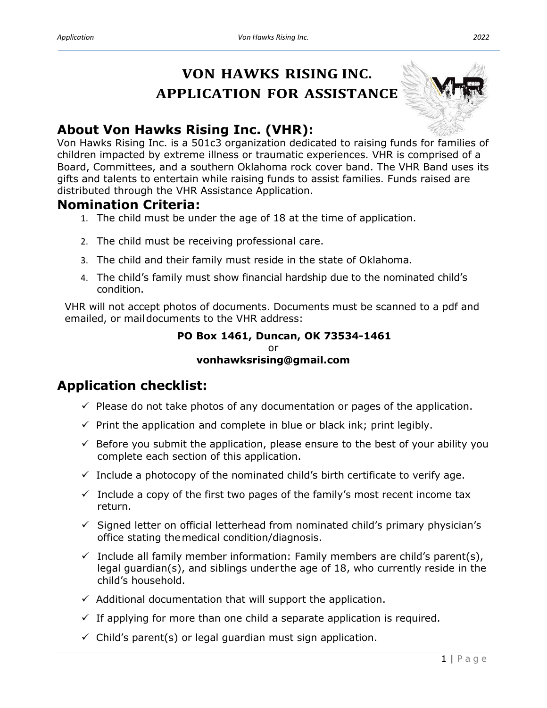# **VON HAWKS RISING INC. APPLICATION FOR ASSISTANCE**



## **About Von Hawks Rising Inc. (VHR):**

Von Hawks Rising Inc. is a 501c3 organization dedicated to raising funds for families of children impacted by extreme illness or traumatic experiences. VHR is comprised of a Board, Committees, and a southern Oklahoma rock cover band. The VHR Band uses its gifts and talents to entertain while raising funds to assist families. Funds raised are distributed through the VHR Assistance Application.

### **Nomination Criteria:**

- 1. The child must be under the age of 18 at the time of application.
- 2. The child must be receiving professional care.
- 3. The child and their family must reside in the state of Oklahoma.
- 4. The child's family must show financial hardship due to the nominated child's condition.

VHR will not accept photos of documents. Documents must be scanned to a pdf and emailed, or maildocuments to the VHR address:

#### **PO Box 1461, Duncan, OK 73534-1461** or **vonhawksrising@gmail.com**

### **Application checklist:**

- $\checkmark$  Please do not take photos of any documentation or pages of the application.
- $\checkmark$  Print the application and complete in blue or black ink; print legibly.
- $\checkmark$  Before you submit the application, please ensure to the best of your ability you complete each section of this application.
- $\checkmark$  Include a photocopy of the nominated child's birth certificate to verify age.
- $\checkmark$  Include a copy of the first two pages of the family's most recent income tax return.
- $\checkmark$  Signed letter on official letterhead from nominated child's primary physician's office stating themedical condition/diagnosis.
- $\checkmark$  Include all family member information: Family members are child's parent(s), legal guardian(s), and siblings under the age of 18, who currently reside in the child's household.
- $\checkmark$  Additional documentation that will support the application.
- $\checkmark$  If applying for more than one child a separate application is required.
- $\checkmark$  Child's parent(s) or legal guardian must sign application.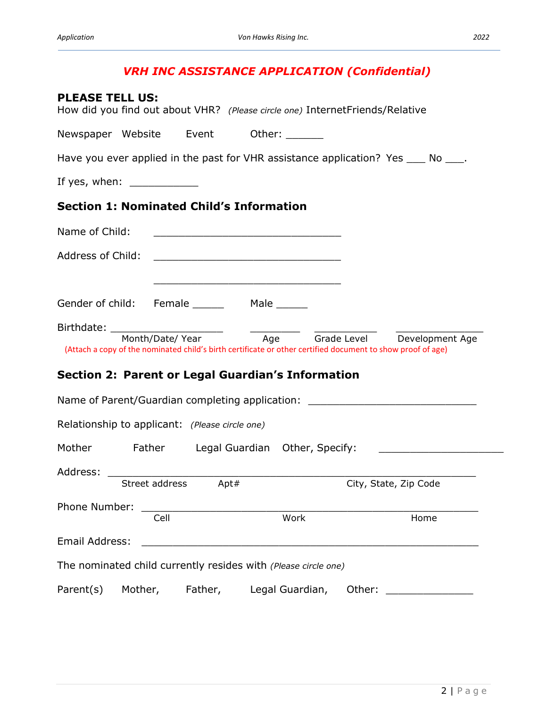### *VRH INC ASSISTANCE APPLICATION (Confidential)*

| <b>PLEASE TELL US:</b><br>How did you find out about VHR? (Please circle one) Internet Friends/Relative |         |                     |      |                                                                                                                       |                       |                                                                                     |
|---------------------------------------------------------------------------------------------------------|---------|---------------------|------|-----------------------------------------------------------------------------------------------------------------------|-----------------------|-------------------------------------------------------------------------------------|
| Newspaper Website Event                                                                                 |         |                     |      | Other: $\qquad \qquad$                                                                                                |                       |                                                                                     |
|                                                                                                         |         |                     |      |                                                                                                                       |                       | Have you ever applied in the past for VHR assistance application? Yes ____ No ____. |
| If yes, when: $\frac{1}{2}$                                                                             |         |                     |      |                                                                                                                       |                       |                                                                                     |
| <b>Section 1: Nominated Child's Information</b>                                                         |         |                     |      |                                                                                                                       |                       |                                                                                     |
| Name of Child:                                                                                          |         |                     |      |                                                                                                                       |                       |                                                                                     |
| Address of Child:                                                                                       |         |                     |      | <u> 2000 - Jan James James James James James James James James James James James James James James James James Ja</u> |                       |                                                                                     |
|                                                                                                         |         |                     |      | the control of the control of the control of the control of the control of the control of                             |                       |                                                                                     |
|                                                                                                         |         |                     |      |                                                                                                                       |                       |                                                                                     |
| Birthdate:                                                                                              |         | Month/Date/Year Age |      | (Attach a copy of the nominated child's birth certificate or other certified document to show proof of age)           |                       | Grade Level Development Age                                                         |
| <b>Section 2: Parent or Legal Guardian's Information</b>                                                |         |                     |      |                                                                                                                       |                       |                                                                                     |
| Name of Parent/Guardian completing application: ________________________________                        |         |                     |      |                                                                                                                       |                       |                                                                                     |
| Relationship to applicant: (Please circle one)                                                          |         |                     |      |                                                                                                                       |                       |                                                                                     |
| Mother                                                                                                  |         |                     |      | Father Legal Guardian Other, Specify:                                                                                 |                       |                                                                                     |
| Address:                                                                                                |         | Street address      | Apt# |                                                                                                                       | City, State, Zip Code |                                                                                     |
| Phone Number:                                                                                           |         | Cell                |      | Work                                                                                                                  |                       | Home                                                                                |
| Email Address:                                                                                          |         |                     |      |                                                                                                                       |                       |                                                                                     |
| The nominated child currently resides with (Please circle one)                                          |         |                     |      |                                                                                                                       |                       |                                                                                     |
| Parent(s)                                                                                               | Mother, | Father,             |      | Legal Guardian,                                                                                                       | Other:                |                                                                                     |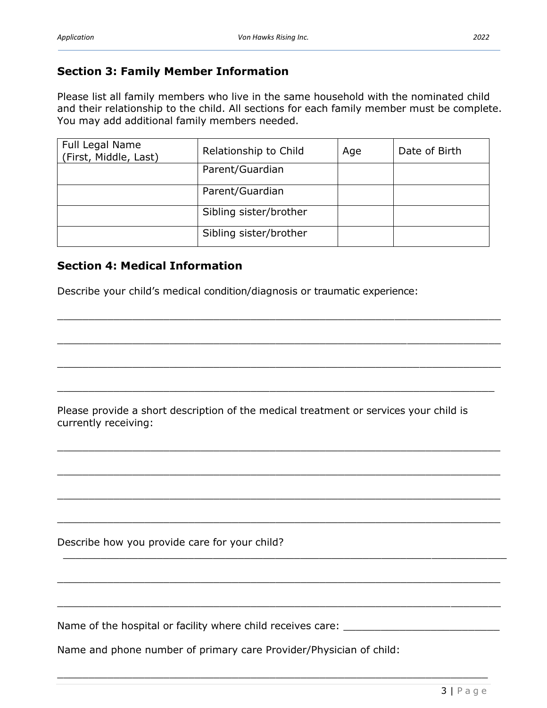#### **Section 3: Family Member Information**

Please list all family members who live in the same household with the nominated child and their relationship to the child. All sections for each family member must be complete. You may add additional family members needed.

| Full Legal Name<br>(First, Middle, Last) | Relationship to Child  | Age | Date of Birth |
|------------------------------------------|------------------------|-----|---------------|
|                                          | Parent/Guardian        |     |               |
|                                          | Parent/Guardian        |     |               |
|                                          | Sibling sister/brother |     |               |
|                                          | Sibling sister/brother |     |               |

 $\_$  , and the set of the set of the set of the set of the set of the set of the set of the set of the set of the set of the set of the set of the set of the set of the set of the set of the set of the set of the set of th

\_\_\_\_\_\_\_\_\_\_\_\_\_\_\_\_\_\_\_\_\_\_\_\_\_\_\_\_\_\_\_\_\_\_\_\_\_\_\_\_\_\_\_\_\_\_\_\_\_\_\_\_\_\_\_\_\_\_\_\_\_\_\_\_\_\_\_\_\_\_\_

\_\_\_\_\_\_\_\_\_\_\_\_\_\_\_\_\_\_\_\_\_\_\_\_\_\_\_\_\_\_\_\_\_\_\_\_\_\_\_\_\_\_\_\_\_\_\_\_\_\_\_\_\_\_\_\_\_\_\_\_\_\_\_\_\_\_\_\_\_\_\_

 $\_$  , and the contribution of the contribution of  $\mathcal{L}_1$  , and the contribution of  $\mathcal{L}_2$  , and  $\mathcal{L}_3$ 

 $\_$  , and the set of the set of the set of the set of the set of the set of the set of the set of the set of the set of the set of the set of the set of the set of the set of the set of the set of the set of the set of th

\_\_\_\_\_\_\_\_\_\_\_\_\_\_\_\_\_\_\_\_\_\_\_\_\_\_\_\_\_\_\_\_\_\_\_\_\_\_\_\_\_\_\_\_\_\_\_\_\_\_\_\_\_\_\_\_\_\_\_\_\_\_\_\_\_\_\_\_\_\_\_

 $\_$  , and the set of the set of the set of the set of the set of the set of the set of the set of the set of the set of the set of the set of the set of the set of the set of the set of the set of the set of the set of th

\_\_\_\_\_\_\_\_\_\_\_\_\_\_\_\_\_\_\_\_\_\_\_\_\_\_\_\_\_\_\_\_\_\_\_\_\_\_\_\_\_\_\_\_\_\_\_\_\_\_\_\_\_\_\_\_\_\_\_\_\_\_\_\_\_\_\_\_\_\_\_

 $\_$  , and the contribution of the contribution of  $\mathcal{L}_\mathcal{A}$  , and the contribution of  $\mathcal{L}_\mathcal{A}$ 

\_\_\_\_\_\_\_\_\_\_\_\_\_\_\_\_\_\_\_\_\_\_\_\_\_\_\_\_\_\_\_\_\_\_\_\_\_\_\_\_\_\_\_\_\_\_\_\_\_\_\_\_\_\_\_\_\_\_\_\_\_\_\_\_\_\_\_\_\_\_\_

 $\_$  , and the contribution of the contribution of the contribution of the contribution of  $\mathcal{L}_1$ 

\_\_\_\_\_\_\_\_\_\_\_\_\_\_\_\_\_\_\_\_\_\_\_\_\_\_\_\_\_\_\_\_\_\_\_\_\_\_\_\_\_\_\_\_\_\_\_\_\_\_\_\_\_\_\_\_\_\_\_\_\_\_\_\_\_\_\_\_\_

#### **Section 4: Medical Information**

Describe your child's medical condition/diagnosis or traumatic experience:

Please provide a short description of the medical treatment or services your child is currently receiving:

Describe how you provide care for your child?

Name of the hospital or facility where child receives care: \_\_\_\_\_\_\_\_\_\_\_\_\_\_\_\_\_\_\_\_

Name and phone number of primary care Provider/Physician of child: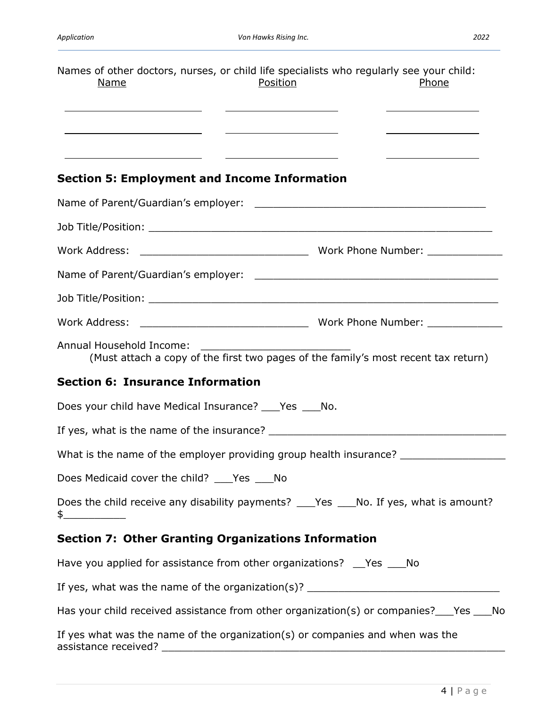| Names of other doctors, nurses, or child life specialists who regularly see your child:<br><u>Name</u><br><u> 1980 - Andrea Aonaichte ann an t-Aonaichte ann an t-Aonaichte ann an t-Aonaichte ann an t-Aonaichte ann an t-</u> | Position<br><u> Alexandria de la contrada de la contrada de la contrada de la contrada de la contrada de la contrada de la c</u>                                                                                                     |  | <u>Phone</u><br><u>and the state of the state of the state of the state of the state of the state of the state of the state of the state of the state of the state of the state of the state of the state of the state of the state of the state</u> |  |
|---------------------------------------------------------------------------------------------------------------------------------------------------------------------------------------------------------------------------------|--------------------------------------------------------------------------------------------------------------------------------------------------------------------------------------------------------------------------------------|--|------------------------------------------------------------------------------------------------------------------------------------------------------------------------------------------------------------------------------------------------------|--|
| <u> 1980 - Johann Barn, amerikansk politiker (</u>                                                                                                                                                                              | <u> 1999 - Johann Harry Harry Harry Harry Harry Harry Harry Harry Harry Harry Harry Harry Harry Harry Harry Harry Harry Harry Harry Harry Harry Harry Harry Harry Harry Harry Harry Harry Harry Harry Harry Harry Harry Harry Ha</u> |  | <u> 1989 - Johann Barn, mars ann an t-Amhain</u>                                                                                                                                                                                                     |  |
| <b>Section 5: Employment and Income Information</b>                                                                                                                                                                             |                                                                                                                                                                                                                                      |  |                                                                                                                                                                                                                                                      |  |
|                                                                                                                                                                                                                                 |                                                                                                                                                                                                                                      |  |                                                                                                                                                                                                                                                      |  |
|                                                                                                                                                                                                                                 |                                                                                                                                                                                                                                      |  |                                                                                                                                                                                                                                                      |  |
|                                                                                                                                                                                                                                 |                                                                                                                                                                                                                                      |  |                                                                                                                                                                                                                                                      |  |
|                                                                                                                                                                                                                                 |                                                                                                                                                                                                                                      |  |                                                                                                                                                                                                                                                      |  |
|                                                                                                                                                                                                                                 |                                                                                                                                                                                                                                      |  |                                                                                                                                                                                                                                                      |  |
|                                                                                                                                                                                                                                 |                                                                                                                                                                                                                                      |  |                                                                                                                                                                                                                                                      |  |
| Annual Household Income:<br>(Must attach a copy of the first two pages of the family's most recent tax return)                                                                                                                  |                                                                                                                                                                                                                                      |  |                                                                                                                                                                                                                                                      |  |
| <b>Section 6: Insurance Information</b>                                                                                                                                                                                         |                                                                                                                                                                                                                                      |  |                                                                                                                                                                                                                                                      |  |
| Does your child have Medical Insurance? ____ Yes ____ No.                                                                                                                                                                       |                                                                                                                                                                                                                                      |  |                                                                                                                                                                                                                                                      |  |
|                                                                                                                                                                                                                                 |                                                                                                                                                                                                                                      |  |                                                                                                                                                                                                                                                      |  |
| What is the name of the employer providing group health insurance? ______________                                                                                                                                               |                                                                                                                                                                                                                                      |  |                                                                                                                                                                                                                                                      |  |
| Does Medicaid cover the child? ____Yes ____No                                                                                                                                                                                   |                                                                                                                                                                                                                                      |  |                                                                                                                                                                                                                                                      |  |
| Does the child receive any disability payments? ____Yes ____No. If yes, what is amount?<br>$\frac{1}{2}$                                                                                                                        |                                                                                                                                                                                                                                      |  |                                                                                                                                                                                                                                                      |  |
| <b>Section 7: Other Granting Organizations Information</b>                                                                                                                                                                      |                                                                                                                                                                                                                                      |  |                                                                                                                                                                                                                                                      |  |
| Have you applied for assistance from other organizations? __Yes ___No                                                                                                                                                           |                                                                                                                                                                                                                                      |  |                                                                                                                                                                                                                                                      |  |
| If yes, what was the name of the organization(s)? ______________________________                                                                                                                                                |                                                                                                                                                                                                                                      |  |                                                                                                                                                                                                                                                      |  |
| Has your child received assistance from other organization(s) or companies?___Yes ___No                                                                                                                                         |                                                                                                                                                                                                                                      |  |                                                                                                                                                                                                                                                      |  |
| If yes what was the name of the organization(s) or companies and when was the                                                                                                                                                   |                                                                                                                                                                                                                                      |  |                                                                                                                                                                                                                                                      |  |

assistance received? \_\_\_\_\_\_\_\_\_\_\_\_\_\_\_\_\_\_\_\_\_\_\_\_\_\_\_\_\_\_\_\_\_\_\_\_\_\_\_\_\_\_\_\_\_\_\_\_\_\_\_\_\_\_\_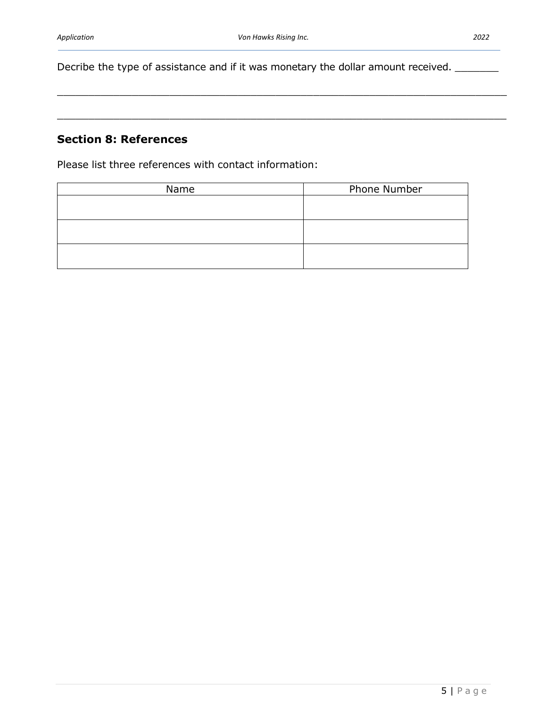\_\_\_\_\_\_\_\_\_\_\_\_\_\_\_\_\_\_\_\_\_\_\_\_\_\_\_\_\_\_\_\_\_\_\_\_\_\_\_\_\_\_\_\_\_\_\_\_\_\_\_\_\_\_\_\_\_\_\_\_\_\_\_\_\_\_\_\_\_\_\_\_

\_\_\_\_\_\_\_\_\_\_\_\_\_\_\_\_\_\_\_\_\_\_\_\_\_\_\_\_\_\_\_\_\_\_\_\_\_\_\_\_\_\_\_\_\_\_\_\_\_\_\_\_\_\_\_\_\_\_\_\_\_\_\_\_\_\_\_\_\_\_\_\_

Decribe the type of assistance and if it was monetary the dollar amount received. \_\_\_\_\_\_\_

#### **Section 8: References**

Please list three references with contact information:

| Name | Phone Number |
|------|--------------|
|      |              |
|      |              |
|      |              |
|      |              |
|      |              |
|      |              |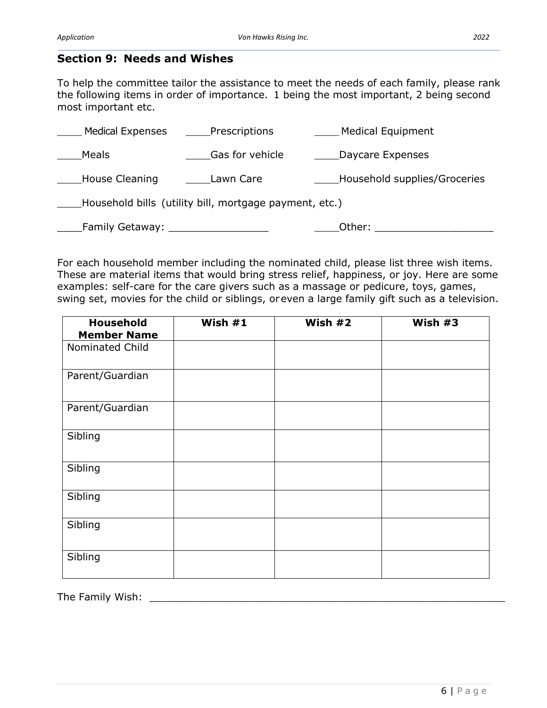#### **Section 9: Needs and Wishes**

To help the committee tailor the assistance to meet the needs of each family, please rank the following items in order of importance. 1 being the most important, 2 being second most important etc.

| <b>Medical Expenses</b>                                | Prescriptions   | <b>Medical Equipment</b>     |  |  |
|--------------------------------------------------------|-----------------|------------------------------|--|--|
| <b>Meals</b>                                           | Gas for vehicle | Daycare Expenses             |  |  |
| House Cleaning                                         | Lawn Care       | Household supplies/Groceries |  |  |
| Household bills (utility bill, mortgage payment, etc.) |                 |                              |  |  |
| Family Getaway:                                        |                 | Other:                       |  |  |

For each household member including the nominated child, please list three wish items. These are material items that would bring stress relief, happiness, or joy. Here are some examples: self-care for the care givers such as a massage or pedicure, toys, games, swing set, movies for the child or siblings, oreven a large family gift such as a television.

| <b>Household</b><br><b>Member Name</b> | Wish $#1$ | Wish $#2$ | Wish #3 |
|----------------------------------------|-----------|-----------|---------|
| Nominated Child                        |           |           |         |
| Parent/Guardian                        |           |           |         |
| Parent/Guardian                        |           |           |         |
| Sibling                                |           |           |         |
| Sibling                                |           |           |         |
| Sibling                                |           |           |         |
| Sibling                                |           |           |         |
| Sibling                                |           |           |         |

The Family Wish: \_\_\_\_\_\_\_\_\_\_\_\_\_\_\_\_\_\_\_\_\_\_\_\_\_\_\_\_\_\_\_\_\_\_\_\_\_\_\_\_\_\_\_\_\_\_\_\_\_\_\_\_\_\_\_\_\_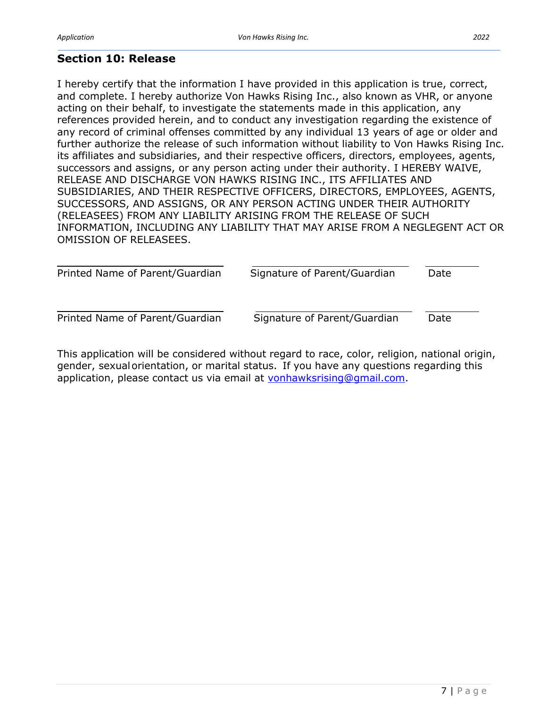### **Section 10: Release**

I hereby certify that the information I have provided in this application is true, correct, and complete. I hereby authorize Von Hawks Rising Inc., also known as VHR, or anyone acting on their behalf, to investigate the statements made in this application, any references provided herein, and to conduct any investigation regarding the existence of any record of criminal offenses committed by any individual 13 years of age or older and further authorize the release of such information without liability to Von Hawks Rising Inc. its affiliates and subsidiaries, and their respective officers, directors, employees, agents, successors and assigns, or any person acting under their authority. I HEREBY WAIVE, RELEASE AND DISCHARGE VON HAWKS RISING INC., ITS AFFILIATES AND SUBSIDIARIES, AND THEIR RESPECTIVE OFFICERS, DIRECTORS, EMPLOYEES, AGENTS, SUCCESSORS, AND ASSIGNS, OR ANY PERSON ACTING UNDER THEIR AUTHORITY (RELEASEES) FROM ANY LIABILITY ARISING FROM THE RELEASE OF SUCH INFORMATION, INCLUDING ANY LIABILITY THAT MAY ARISE FROM A NEGLEGENT ACT OR OMISSION OF RELEASEES.

| Printed Name of Parent/Guardian | Signature of Parent/Guardian | Date |
|---------------------------------|------------------------------|------|
| Printed Name of Parent/Guardian | Signature of Parent/Guardian | Date |

This application will be considered without regard to race, color, religion, national origin, gender, sexualorientation, or marital status. If you have any questions regarding this application, please contact us via email at [vonhawksrising@gmail.com.](mailto:vonhawksrising@gmail.com)